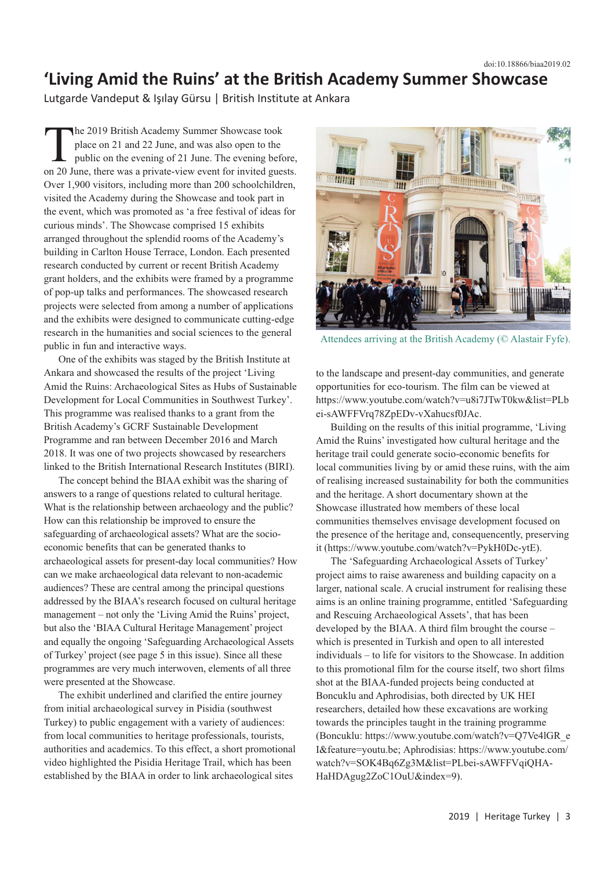## **'Living Amid the Ruins' at the British Academy Summer Showcase**

Lutgarde Vandeput & Işılay Gürsu | British Institute at Ankara

The 2019 British Academy Summer Showcase took place on 21 and 22 June, and was also open to the public on the evening of 21 June. The evening before, on 20 June, there was a private-view event for invited guests. Over 1,900 visitors, including more than 200 schoolchildren, visited the Academy during the Showcase and took part in the event, which was promoted as 'a free festival of ideas for curious minds'. The Showcase comprised 15 exhibits arranged throughout the splendid rooms of the Academy's building in Carlton House Terrace, London. Each presented research conducted by current or recent British Academy grant holders, and the exhibits were framed by a programme of pop-up talks and performances. The showcased research projects were selected from among a number of applications and the exhibits were designed to communicate cutting-edge research in the humanities and social sciences to the general public in fun and interactive ways.

One of the exhibits was staged by the British Institute at Ankara and showcased the results of the project 'Living Amid the Ruins: Archaeological Sites as Hubs of Sustainable Development for Local Communities in Southwest Turkey'. This programme was realised thanks to a grant from the British Academy's GCRF Sustainable Development Programme and ran between December 2016 and March 2018. It was one of two projects showcased by researchers linked to the British International Research Institutes (BIRI).

The concept behind the BIAA exhibit was the sharing of answers to a range of questions related to cultural heritage. What is the relationship between archaeology and the public? How can this relationship be improved to ensure the safeguarding of archaeological assets? What are the socioeconomic benefits that can be generated thanks to archaeological assets for present-day local communities? How can we make archaeological data relevant to non-academic audiences? These are central among the principal questions addressed by the BIAA's research focused on cultural heritage management – not only the 'Living Amid the Ruins' project, but also the 'BIAA Cultural Heritage Management' project and equally the ongoing 'Safeguarding Archaeological Assets of Turkey' project (see page 5 in this issue). Since all these programmes are very much interwoven, elements of all three were presented at the Showcase.

The exhibit underlined and clarified the entire journey from initial archaeological survey in Pisidia (southwest Turkey) to public engagement with a variety of audiences: from local communities to heritage professionals, tourists, authorities and academics. To this effect, a short promotional video highlighted the Pisidia Heritage Trail, which has been established by the BIAA in order to link archaeological sites



Attendees arriving at the British Academy (© Alastair Fyfe).

to the landscape and present-day communities, and generate opportunities for eco-tourism. The film can be viewed at https://www.youtube.com/watch?v=u8i7JTwT0kw&list=PLb ei-sAWFFVrq78ZpEDv-vXahucsf0JAc.

Building on the results of this initial programme, 'Living Amid the Ruins' investigated how cultural heritage and the heritage trail could generate socio-economic benefits for local communities living by or amid these ruins, with the aim of realising increased sustainability for both the communities and the heritage. A short documentary shown at the Showcase illustrated how members of these local communities themselves envisage development focused on the presence of the heritage and, consequencently, preserving it (https://www.youtube.com/watch?v=PykH0Dc-ytE).

The 'Safeguarding Archaeological Assets of Turkey' project aims to raise awareness and building capacity on a larger, national scale. A crucial instrument for realising these aims is an online training programme, entitled 'Safeguarding and Rescuing Archaeological Assets', that has been developed by the BIAA. A third film brought the course – which is presented in Turkish and open to all interested individuals – to life for visitors to the Showcase. In addition to this promotional film for the course itself, two short films shot at the BIAA-funded projects being conducted at Boncuklu and Aphrodisias, both directed by UK HEI researchers, detailed how these excavations are working towards the principles taught in the training programme (Boncuklu: https://www.youtube.com/watch?v=Q7Ve4lGR\_e I&feature=youtu.be; Aphrodisias: https://www.youtube.com/ watch?v=SOK4Bq6Zg3M&list=PLbei-sAWFFVqiQHA-HaHDAgug2ZoC1OuU&index=9).